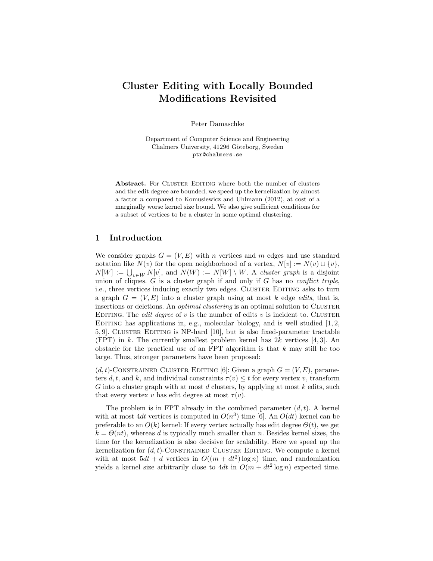# Cluster Editing with Locally Bounded Modifications Revisited

Peter Damaschke

Department of Computer Science and Engineering Chalmers University, 41296 Göteborg, Sweden ptr@chalmers.se

Abstract. For CLUSTER EDITING where both the number of clusters and the edit degree are bounded, we speed up the kernelization by almost a factor n compared to Komusiewicz and Uhlmann (2012), at cost of a marginally worse kernel size bound. We also give sufficient conditions for a subset of vertices to be a cluster in some optimal clustering.

## 1 Introduction

We consider graphs  $G = (V, E)$  with n vertices and m edges and use standard notation like  $N(v)$  for the open neighborhood of a vertex,  $N[v] := N(v) \cup \{v\},\$  $N[W] := \bigcup_{v \in W} N[v]$ , and  $N(W) := N[W] \setminus W$ . A *cluster graph* is a disjoint union of cliques.  $G$  is a cluster graph if and only if  $G$  has no *conflict triple*, i.e., three vertices inducing exactly two edges. CLUSTER EDITING asks to turn a graph  $G = (V, E)$  into a cluster graph using at most k edge edits, that is, insertions or deletions. An *optimal clustering* is an optimal solution to CLUSTER EDITING. The *edit degree* of  $v$  is the number of edits  $v$  is incident to. CLUSTER EDITING has applications in, e.g., molecular biology, and is well studied  $[1, 2, 1]$ 5, 9]. Cluster Editing is NP-hard [10], but is also fixed-parameter tractable (FPT) in k. The currently smallest problem kernel has  $2k$  vertices [4, 3]. An obstacle for the practical use of an FPT algorithm is that  $k$  may still be too large. Thus, stronger parameters have been proposed:

 $(d, t)$ -CONSTRAINED CLUSTER EDITING [6]: Given a graph  $G = (V, E)$ , parameters d, t, and k, and individual constraints  $\tau(v) \leq t$  for every vertex v, transform G into a cluster graph with at most d clusters, by applying at most  $k$  edits, such that every vertex v has edit degree at most  $\tau(v)$ .

The problem is in FPT already in the combined parameter  $(d, t)$ . A kernel with at most 4dt vertices is computed in  $O(n^3)$  time [6]. An  $O(dt)$  kernel can be preferable to an  $O(k)$  kernel: If every vertex actually has edit degree  $\Theta(t)$ , we get  $k = \Theta(nt)$ , whereas d is typically much smaller than n. Besides kernel sizes, the time for the kernelization is also decisive for scalability. Here we speed up the kernelization for  $(d, t)$ -CONSTRAINED CLUSTER EDITING. We compute a kernel with at most  $5dt + d$  vertices in  $O((m + dt^2) \log n)$  time, and randomization yields a kernel size arbitrarily close to  $4dt$  in  $O(m + dt^2 \log n)$  expected time.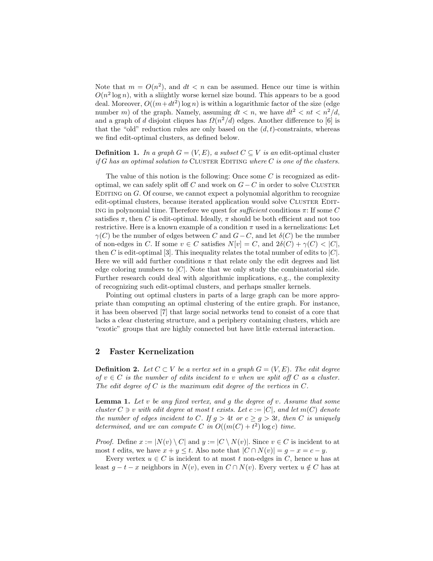Note that  $m = O(n^2)$ , and  $dt < n$  can be assumed. Hence our time is within  $O(n^2 \log n)$ , with a sliightly worse kernel size bound. This appears to be a good deal. Moreover,  $O((m+dt^2) \log n)$  is within a logarithmic factor of the size (edge number m) of the graph. Namely, assuming  $dt < n$ , we have  $dt^2 < nt < n^2/d$ , and a graph of d disjoint cliques has  $\Omega(n^2/d)$  edges. Another difference to [6] is that the "old" reduction rules are only based on the  $(d, t)$ -constraints, whereas we find edit-optimal clusters, as defined below.

**Definition 1.** In a graph  $G = (V, E)$ , a subset  $C \subseteq V$  is an edit-optimal cluster if G has an optimal solution to CLUSTER EDITING where  $C$  is one of the clusters.

The value of this notion is the following: Once some  $C$  is recognized as editoptimal, we can safely split off C and work on  $G - C$  in order to solve CLUSTER EDITING on  $G$ . Of course, we cannot expect a polynomial algorithm to recognize edit-optimal clusters, because iterated application would solve CLUSTER EDIT-ING in polynomial time. Therefore we quest for *sufficient* conditions  $\pi$ : If some C satisfies  $\pi$ , then C is edit-optimal. Ideally,  $\pi$  should be both efficient and not too restrictive. Here is a known example of a condition  $\pi$  used in a kernelizations: Let  $\gamma(C)$  be the number of edges between C and  $G-C$ , and let  $\delta(C)$  be the number of non-edges in C. If some  $v \in C$  satisfies  $N[v] = C$ , and  $2\delta(C) + \gamma(C) < |C|$ , then C is edit-optimal [3]. This inequality relates the total number of edits to  $|C|$ . Here we will add further conditions  $\pi$  that relate only the edit degrees and list edge coloring numbers to  $|C|$ . Note that we only study the combinatorial side. Further research could deal with algorithmic implications, e.g., the complexity of recognizing such edit-optimal clusters, and perhaps smaller kernels.

Pointing out optimal clusters in parts of a large graph can be more appropriate than computing an optimal clustering of the entire graph. For instance, it has been observed [7] that large social networks tend to consist of a core that lacks a clear clustering structure, and a periphery containing clusters, which are "exotic" groups that are highly connected but have little external interaction.

#### 2 Faster Kernelization

**Definition 2.** Let  $C \subset V$  be a vertex set in a graph  $G = (V, E)$ . The edit degree of  $v \in C$  is the number of edits incident to v when we split off C as a cluster. The edit degree of  $C$  is the maximum edit degree of the vertices in  $C$ .

**Lemma 1.** Let  $v$  be any fixed vertex, and  $g$  the degree of  $v$ . Assume that some cluster  $C \ni v$  with edit degree at most t exists. Let  $c := |C|$ , and let  $m(C)$  denote the number of edges incident to C. If  $g > 4t$  or  $c \ge g > 3t$ , then C is uniquely determined, and we can compute C in  $O((m(C) + t^2) \log c)$  time.

*Proof.* Define  $x := |N(v) \setminus C|$  and  $y := |C \setminus N(v)|$ . Since  $v \in C$  is incident to at most t edits, we have  $x + y \leq t$ . Also note that  $|C \cap N(v)| = g - x = c - y$ .

Every vertex  $u \in C$  is incident to at most t non-edges in C, hence u has at least  $g - t - x$  neighbors in  $N(v)$ , even in  $C \cap N(v)$ . Every vertex  $u \notin C$  has at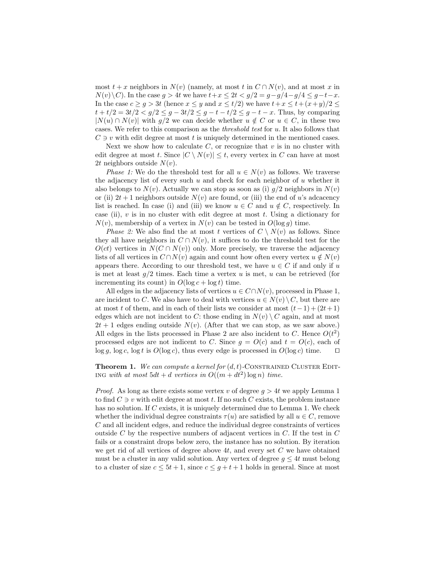most  $t + x$  neighbors in  $N(v)$  (namely, at most t in  $C \cap N(v)$ , and at most x in  $N(v)\backslash C$ . In the case  $g > 4t$  we have  $t+x \leq 2t < g/2 = g-g/4-g/4 \leq g-t-x$ . In the case  $c \ge g > 3t$  (hence  $x \le y$  and  $x \le t/2$ ) we have  $t + x \le t + (x+y)/2 \le$  $t + t/2 = 3t/2 < g/2 \le g - 3t/2 \le g - t - t/2 \le g - t - x$ . Thus, by comparing  $|N(u) \cap N(v)|$  with  $g/2$  we can decide whether  $u \notin C$  or  $u \in C$ , in these two cases. We refer to this comparison as the threshold test for u. It also follows that  $C \ni v$  with edit degree at most t is uniquely determined in the mentioned cases.

Next we show how to calculate  $C$ , or recognize that  $v$  is in no cluster with edit degree at most t. Since  $|C \setminus N(v)| \leq t$ , every vertex in C can have at most 2t neighbors outside  $N(v)$ .

*Phase 1:* We do the threshold test for all  $u \in N(v)$  as follows. We traverse the adjacency list of every such u and check for each neighbor of u whether it also belongs to  $N(v)$ . Actually we can stop as soon as (i)  $g/2$  neighbors in  $N(v)$ or (ii)  $2t + 1$  neighbors outside  $N(v)$  are found, or (iii) the end of u's adcacency list is reached. In case (i) and (iii) we know  $u \in C$  and  $u \notin C$ , respectively. In case (ii),  $v$  is in no cluster with edit degree at most  $t$ . Using a dictionary for  $N(v)$ , membership of a vertex in  $N(v)$  can be tested in  $O(\log g)$  time.

*Phase 2:* We also find the at most t vertices of  $C \setminus N(v)$  as follows. Since they all have neighbors in  $C \cap N(v)$ , it suffices to do the threshold test for the  $O(ct)$  vertices in  $N(C \cap N(v))$  only. More precisely, we traverse the adjacency lists of all vertices in  $C \cap N(v)$  again and count how often every vertex  $u \notin N(v)$ appears there. According to our threshold test, we have  $u \in C$  if and only if u is met at least  $q/2$  times. Each time a vertex u is met, u can be retrieved (for incrementing its count) in  $O(\log c + \log t)$  time.

All edges in the adjacency lists of vertices  $u \in C \cap N(v)$ , processed in Phase 1, are incident to C. We also have to deal with vertices  $u \in N(v) \setminus C$ , but there are at most t of them, and in each of their lists we consider at most  $(t-1) + (2t+1)$ edges which are not incident to C: those ending in  $N(v) \setminus C$  again, and at most  $2t + 1$  edges ending outside  $N(v)$ . (After that we can stop, as we saw above.) All edges in the lists processed in Phase 2 are also incident to C. Hence  $O(t^2)$ processed edges are not indicent to C. Since  $q = O(c)$  and  $t = O(c)$ , each of  $\log g$ ,  $\log c$ ,  $\log t$  is  $O(\log c)$ , thus every edge is processed in  $O(\log c)$  time.  $\Box$ 

**Theorem 1.** We can compute a kernel for  $(d, t)$ -CONSTRAINED CLUSTER EDIT-ING with at most  $5dt + d$  vertices in  $O((m + dt^2) \log n)$  time.

*Proof.* As long as there exists some vertex v of degree  $q > 4t$  we apply Lemma 1 to find  $C \ni v$  with edit degree at most t. If no such C exists, the problem instance has no solution. If C exists, it is uniquely determined due to Lemma 1. We check whether the individual degree constraints  $\tau(u)$  are satisfied by all  $u \in C$ , remove C and all incident edges, and reduce the individual degree constraints of vertices outside C by the respective numbers of adjacent vertices in C. If the test in C fails or a constraint drops below zero, the instance has no solution. By iteration we get rid of all vertices of degree above  $4t$ , and every set C we have obtained must be a cluster in any valid solution. Any vertex of degree  $g \leq 4t$  must belong to a cluster of size  $c \leq 5t + 1$ , since  $c \leq g + t + 1$  holds in general. Since at most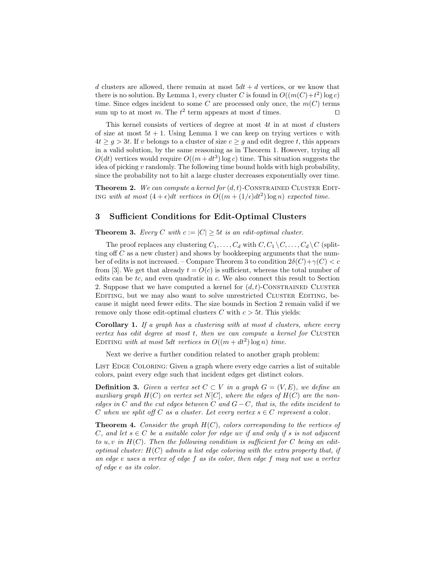d clusters are allowed, there remain at most  $5dt + d$  vertices, or we know that there is no solution. By Lemma 1, every cluster C is found in  $O((m(C)+t^2) \log c)$ time. Since edges incident to some C are processed only once, the  $m(C)$  terms sum up to at most m. The  $t^2$  term appears at most d times.

This kernel consists of vertices of degree at most  $4t$  in at most  $d$  clusters of size at most  $5t + 1$ . Using Lemma 1 we can keep on trying vertices v with  $4t > q > 3t$ . If v belongs to a cluster of size  $c > q$  and edit degree t, this appears in a valid solution, by the same reasoning as in Theorem 1. However, trying all  $O(dt)$  vertices would require  $O((m+dt^3) \log c)$  time. This situation suggests the idea of picking  $v$  randomly. The following time bound holds with high probability, since the probability not to hit a large cluster decreases exponentially over time.

**Theorem 2.** We can compute a kernel for  $(d, t)$ -CONSTRAINED CLUSTER EDIT-ING with at most  $(4 + \epsilon)dt$  vertices in  $O((m + (1/\epsilon)dt^2) \log n)$  expected time.

#### 3 Sufficient Conditions for Edit-Optimal Clusters

**Theorem 3.** Every C with  $c := |C| \geq 5t$  is an edit-optimal cluster.

The proof replaces any clustering  $C_1, \ldots, C_d$  with  $C, C_1 \setminus C, \ldots, C_d \setminus C$  (splitting off  $C$  as a new cluster) and shows by bookkeeping arguments that the number of edits is not increased. – Compare Theorem 3 to condition  $2\delta(C)+\gamma(C)< c$ from [3]. We get that already  $t = O(c)$  is sufficient, whereas the total number of edits can be tc, and even quadratic in c. We also connect this result to Section 2. Suppose that we have computed a kernel for  $(d, t)$ -CONSTRAINED CLUSTER Editing, but we may also want to solve unrestricted Cluster Editing, because it might need fewer edits. The size bounds in Section 2 remain valid if we remove only those edit-optimal clusters C with  $c > 5t$ . This yields:

Corollary 1. If a graph has a clustering with at most d clusters, where every vertex has edit degree at most  $t$ , then we can compute a kernel for CLUSTER EDITING with at most 5dt vertices in  $O((m + dt^2) \log n)$  time.

Next we derive a further condition related to another graph problem:

LIST EDGE COLORING: Given a graph where every edge carries a list of suitable colors, paint every edge such that incident edges get distinct colors.

**Definition 3.** Given a vertex set  $C \subset V$  in a graph  $G = (V, E)$ , we define an auxiliary graph  $H(C)$  on vertex set  $N[C]$ , where the edges of  $H(C)$  are the nonedges in C and the cut edges between C and  $G - C$ , that is, the edits incident to C when we split off C as a cluster. Let every vertex  $s \in C$  represent a color.

**Theorem 4.** Consider the graph  $H(C)$ , colors corresponding to the vertices of C, and let  $s \in C$  be a suitable color for edge uv if and only if s is not adjacent to u, v in  $H(C)$ . Then the following condition is sufficient for C being an editoptimal cluster:  $H(C)$  admits a list edge coloring with the extra property that, if an edge e uses a vertex of edge f as its color, then edge f may not use a vertex of edge e as its color.